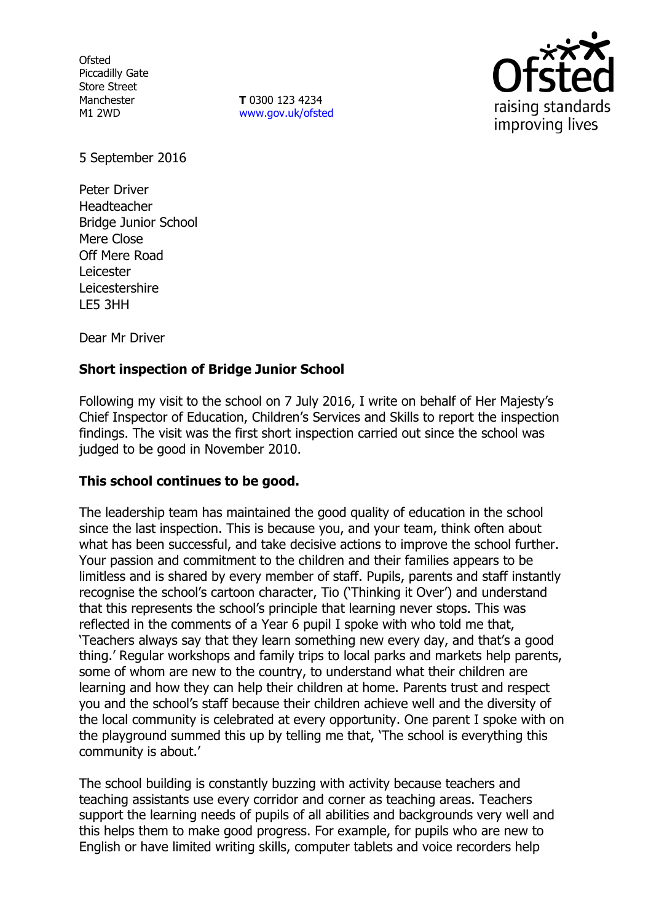**Ofsted** Piccadilly Gate Store Street Manchester M1 2WD

**T** 0300 123 4234 www.gov.uk/ofsted



5 September 2016

Peter Driver Headteacher Bridge Junior School Mere Close Off Mere Road Leicester Leicestershire LE5 3HH

Dear Mr Driver

# **Short inspection of Bridge Junior School**

Following my visit to the school on 7 July 2016, I write on behalf of Her Majesty's Chief Inspector of Education, Children's Services and Skills to report the inspection findings. The visit was the first short inspection carried out since the school was judged to be good in November 2010.

## **This school continues to be good.**

The leadership team has maintained the good quality of education in the school since the last inspection. This is because you, and your team, think often about what has been successful, and take decisive actions to improve the school further. Your passion and commitment to the children and their families appears to be limitless and is shared by every member of staff. Pupils, parents and staff instantly recognise the school's cartoon character, Tio ('Thinking it Over') and understand that this represents the school's principle that learning never stops. This was reflected in the comments of a Year 6 pupil I spoke with who told me that, 'Teachers always say that they learn something new every day, and that's a good thing.' Regular workshops and family trips to local parks and markets help parents, some of whom are new to the country, to understand what their children are learning and how they can help their children at home. Parents trust and respect you and the school's staff because their children achieve well and the diversity of the local community is celebrated at every opportunity. One parent I spoke with on the playground summed this up by telling me that, 'The school is everything this community is about.'

The school building is constantly buzzing with activity because teachers and teaching assistants use every corridor and corner as teaching areas. Teachers support the learning needs of pupils of all abilities and backgrounds very well and this helps them to make good progress. For example, for pupils who are new to English or have limited writing skills, computer tablets and voice recorders help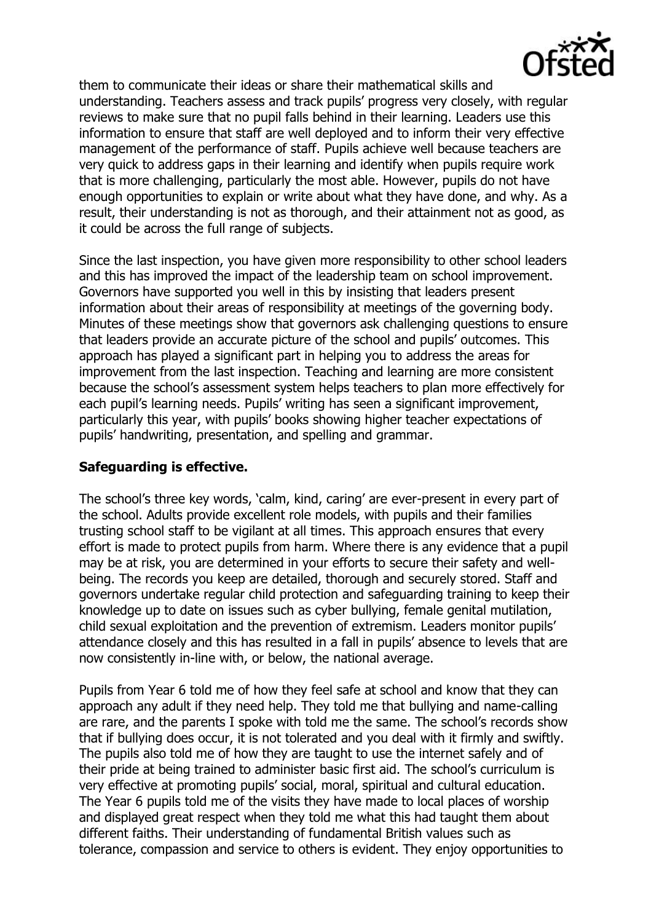

them to communicate their ideas or share their mathematical skills and understanding. Teachers assess and track pupils' progress very closely, with regular reviews to make sure that no pupil falls behind in their learning. Leaders use this information to ensure that staff are well deployed and to inform their very effective management of the performance of staff. Pupils achieve well because teachers are very quick to address gaps in their learning and identify when pupils require work that is more challenging, particularly the most able. However, pupils do not have enough opportunities to explain or write about what they have done, and why. As a result, their understanding is not as thorough, and their attainment not as good, as it could be across the full range of subjects.

Since the last inspection, you have given more responsibility to other school leaders and this has improved the impact of the leadership team on school improvement. Governors have supported you well in this by insisting that leaders present information about their areas of responsibility at meetings of the governing body. Minutes of these meetings show that governors ask challenging questions to ensure that leaders provide an accurate picture of the school and pupils' outcomes. This approach has played a significant part in helping you to address the areas for improvement from the last inspection. Teaching and learning are more consistent because the school's assessment system helps teachers to plan more effectively for each pupil's learning needs. Pupils' writing has seen a significant improvement, particularly this year, with pupils' books showing higher teacher expectations of pupils' handwriting, presentation, and spelling and grammar.

### **Safeguarding is effective.**

The school's three key words, 'calm, kind, caring' are ever-present in every part of the school. Adults provide excellent role models, with pupils and their families trusting school staff to be vigilant at all times. This approach ensures that every effort is made to protect pupils from harm. Where there is any evidence that a pupil may be at risk, you are determined in your efforts to secure their safety and wellbeing. The records you keep are detailed, thorough and securely stored. Staff and governors undertake regular child protection and safeguarding training to keep their knowledge up to date on issues such as cyber bullying, female genital mutilation, child sexual exploitation and the prevention of extremism. Leaders monitor pupils' attendance closely and this has resulted in a fall in pupils' absence to levels that are now consistently in-line with, or below, the national average.

Pupils from Year 6 told me of how they feel safe at school and know that they can approach any adult if they need help. They told me that bullying and name-calling are rare, and the parents I spoke with told me the same. The school's records show that if bullying does occur, it is not tolerated and you deal with it firmly and swiftly. The pupils also told me of how they are taught to use the internet safely and of their pride at being trained to administer basic first aid. The school's curriculum is very effective at promoting pupils' social, moral, spiritual and cultural education. The Year 6 pupils told me of the visits they have made to local places of worship and displayed great respect when they told me what this had taught them about different faiths. Their understanding of fundamental British values such as tolerance, compassion and service to others is evident. They enjoy opportunities to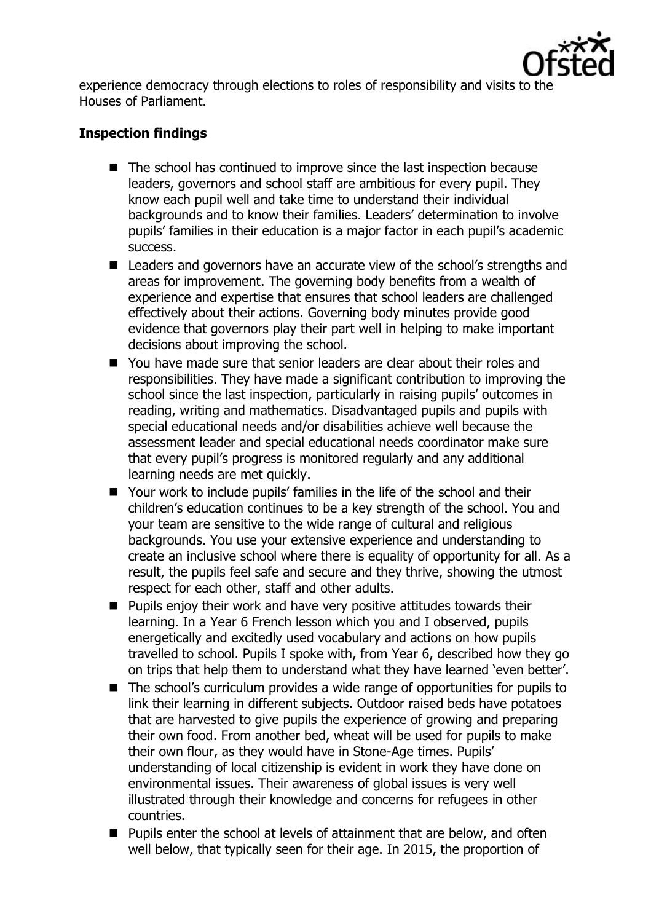

experience democracy through elections to roles of responsibility and visits to the Houses of Parliament.

## **Inspection findings**

- The school has continued to improve since the last inspection because leaders, governors and school staff are ambitious for every pupil. They know each pupil well and take time to understand their individual backgrounds and to know their families. Leaders' determination to involve pupils' families in their education is a major factor in each pupil's academic success.
- Leaders and governors have an accurate view of the school's strengths and areas for improvement. The governing body benefits from a wealth of experience and expertise that ensures that school leaders are challenged effectively about their actions. Governing body minutes provide good evidence that governors play their part well in helping to make important decisions about improving the school.
- You have made sure that senior leaders are clear about their roles and responsibilities. They have made a significant contribution to improving the school since the last inspection, particularly in raising pupils' outcomes in reading, writing and mathematics. Disadvantaged pupils and pupils with special educational needs and/or disabilities achieve well because the assessment leader and special educational needs coordinator make sure that every pupil's progress is monitored regularly and any additional learning needs are met quickly.
- Your work to include pupils' families in the life of the school and their children's education continues to be a key strength of the school. You and your team are sensitive to the wide range of cultural and religious backgrounds. You use your extensive experience and understanding to create an inclusive school where there is equality of opportunity for all. As a result, the pupils feel safe and secure and they thrive, showing the utmost respect for each other, staff and other adults.
- **Pupils enjoy their work and have very positive attitudes towards their** learning. In a Year 6 French lesson which you and I observed, pupils energetically and excitedly used vocabulary and actions on how pupils travelled to school. Pupils I spoke with, from Year 6, described how they go on trips that help them to understand what they have learned 'even better'.
- The school's curriculum provides a wide range of opportunities for pupils to link their learning in different subjects. Outdoor raised beds have potatoes that are harvested to give pupils the experience of growing and preparing their own food. From another bed, wheat will be used for pupils to make their own flour, as they would have in Stone-Age times. Pupils' understanding of local citizenship is evident in work they have done on environmental issues. Their awareness of global issues is very well illustrated through their knowledge and concerns for refugees in other countries.
- $\blacksquare$  Pupils enter the school at levels of attainment that are below, and often well below, that typically seen for their age. In 2015, the proportion of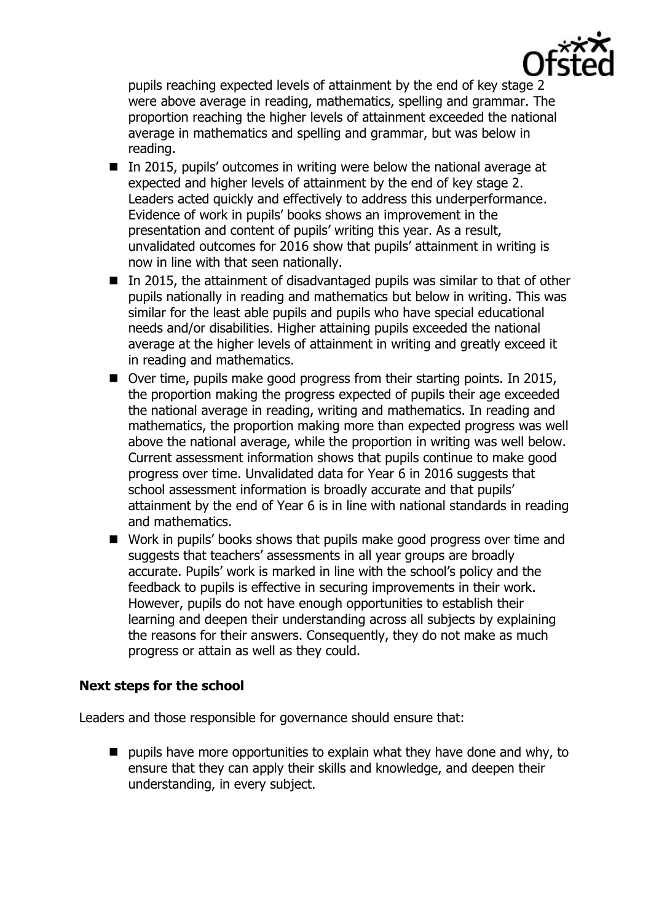

pupils reaching expected levels of attainment by the end of key stage 2 were above average in reading, mathematics, spelling and grammar. The proportion reaching the higher levels of attainment exceeded the national average in mathematics and spelling and grammar, but was below in reading.

- $\blacksquare$  In 2015, pupils' outcomes in writing were below the national average at expected and higher levels of attainment by the end of key stage 2. Leaders acted quickly and effectively to address this underperformance. Evidence of work in pupils' books shows an improvement in the presentation and content of pupils' writing this year. As a result, unvalidated outcomes for 2016 show that pupils' attainment in writing is now in line with that seen nationally.
- In 2015, the attainment of disadvantaged pupils was similar to that of other pupils nationally in reading and mathematics but below in writing. This was similar for the least able pupils and pupils who have special educational needs and/or disabilities. Higher attaining pupils exceeded the national average at the higher levels of attainment in writing and greatly exceed it in reading and mathematics.
- Over time, pupils make good progress from their starting points. In 2015, the proportion making the progress expected of pupils their age exceeded the national average in reading, writing and mathematics. In reading and mathematics, the proportion making more than expected progress was well above the national average, while the proportion in writing was well below. Current assessment information shows that pupils continue to make good progress over time. Unvalidated data for Year 6 in 2016 suggests that school assessment information is broadly accurate and that pupils' attainment by the end of Year 6 is in line with national standards in reading and mathematics.
- Work in pupils' books shows that pupils make good progress over time and suggests that teachers' assessments in all year groups are broadly accurate. Pupils' work is marked in line with the school's policy and the feedback to pupils is effective in securing improvements in their work. However, pupils do not have enough opportunities to establish their learning and deepen their understanding across all subjects by explaining the reasons for their answers. Consequently, they do not make as much progress or attain as well as they could.

#### **Next steps for the school**

Leaders and those responsible for governance should ensure that:

 $\blacksquare$  pupils have more opportunities to explain what they have done and why, to ensure that they can apply their skills and knowledge, and deepen their understanding, in every subject.